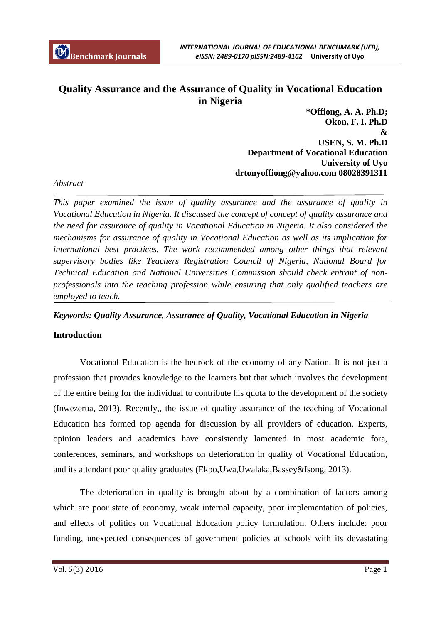# **Quality Assurance and the Assurance of Quality in Vocational Education in Nigeria**

**\*Offiong, A. A. Ph.D; Okon, F. I. Ph.D & USEN, S. M. Ph.D Department of Vocational Education University of Uyo drtonyoffiong@yahoo.com 08028391311**

# *Abstract*

*This paper examined the issue of quality assurance and the assurance of quality in Vocational Education in Nigeria. It discussed the concept of concept of quality assurance and the need for assurance of quality in Vocational Education in Nigeria. It also considered the mechanisms for assurance of quality in Vocational Education as well as its implication for*  international best practices. The work recommended among other things that relevant *supervisory bodies like Teachers Registration Council of Nigeria, National Board for Technical Education and National Universities Commission should check entrant of nonprofessionals into the teaching profession while ensuring that only qualified teachers are employed to teach.*

### *Keywords: Quality Assurance, Assurance of Quality, Vocational Education in Nigeria*

### **Introduction**

Vocational Education is the bedrock of the economy of any Nation. It is not just a profession that provides knowledge to the learners but that which involves the development of the entire being for the individual to contribute his quota to the development of the society (Inwezerua, 2013). Recently,, the issue of quality assurance of the teaching of Vocational Education has formed top agenda for discussion by all providers of education. Experts, opinion leaders and academics have consistently lamented in most academic fora, conferences, seminars, and workshops on deterioration in quality of Vocational Education, and its attendant poor quality graduates (Ekpo,Uwa,Uwalaka,Bassey&Isong, 2013).

The deterioration in quality is brought about by a combination of factors among which are poor state of economy, weak internal capacity, poor implementation of policies, and effects of politics on Vocational Education policy formulation. Others include: poor funding, unexpected consequences of government policies at schools with its devastating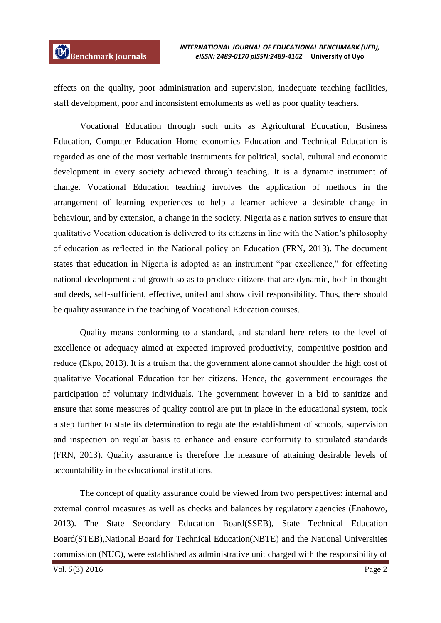effects on the quality, poor administration and supervision, inadequate teaching facilities, staff development, poor and inconsistent emoluments as well as poor quality teachers.

Vocational Education through such units as Agricultural Education, Business Education, Computer Education Home economics Education and Technical Education is regarded as one of the most veritable instruments for political, social, cultural and economic development in every society achieved through teaching. It is a dynamic instrument of change. Vocational Education teaching involves the application of methods in the arrangement of learning experiences to help a learner achieve a desirable change in behaviour, and by extension, a change in the society. Nigeria as a nation strives to ensure that qualitative Vocation education is delivered to its citizens in line with the Nation's philosophy of education as reflected in the National policy on Education (FRN, 2013). The document states that education in Nigeria is adopted as an instrument "par excellence," for effecting national development and growth so as to produce citizens that are dynamic, both in thought and deeds, self-sufficient, effective, united and show civil responsibility. Thus, there should be quality assurance in the teaching of Vocational Education courses..

Quality means conforming to a standard, and standard here refers to the level of excellence or adequacy aimed at expected improved productivity, competitive position and reduce (Ekpo, 2013). It is a truism that the government alone cannot shoulder the high cost of qualitative Vocational Education for her citizens. Hence, the government encourages the participation of voluntary individuals. The government however in a bid to sanitize and ensure that some measures of quality control are put in place in the educational system, took a step further to state its determination to regulate the establishment of schools, supervision and inspection on regular basis to enhance and ensure conformity to stipulated standards (FRN, 2013). Quality assurance is therefore the measure of attaining desirable levels of accountability in the educational institutions.

The concept of quality assurance could be viewed from two perspectives: internal and external control measures as well as checks and balances by regulatory agencies (Enahowo, 2013). The State Secondary Education Board(SSEB), State Technical Education Board(STEB),National Board for Technical Education(NBTE) and the National Universities commission (NUC), were established as administrative unit charged with the responsibility of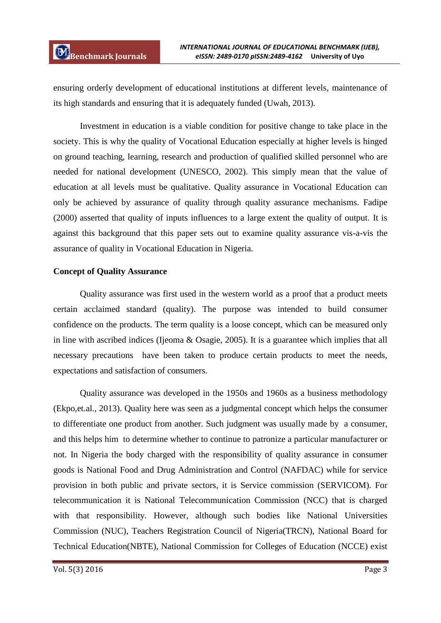ensuring orderly development of educational institutions at different levels, maintenance of its high standards and ensuring that it is adequately funded (Uwah, 2013).

Investment in education is a viable condition for positive change to take place in the society. This is why the quality of Vocational Education especially at higher levels is hinged on ground teaching, learning, research and production of qualified skilled personnel who are needed for national development (UNESCO, 2002). This simply mean that the value of education at all levels must be qualitative. Quality assurance in Vocational Education can only be achieved by assurance of quality through quality assurance mechanisms. Fadipe (2000) asserted that quality of inputs influences to a large extent the quality of output. It is against this background that this paper sets out to examine quality assurance vis-a-vis the assurance of quality in Vocational Education in Nigeria.

### **Concept of Quality Assurance**

Quality assurance was first used in the western world as a proof that a product meets certain acclaimed standard (quality). The purpose was intended to build consumer confidence on the products. The term quality is a loose concept, which can be measured only in line with ascribed indices (Ijeoma & Osagie, 2005). It is a guarantee which implies that all necessary precautions have been taken to produce certain products to meet the needs, expectations and satisfaction of consumers.

Quality assurance was developed in the 1950s and 1960s as a business methodology (Ekpo,et.al., 2013). Quality here was seen as a judgmental concept which helps the consumer to differentiate one product from another. Such judgment was usually made by a consumer, and this helps him to determine whether to continue to patronize a particular manufacturer or not. In Nigeria the body charged with the responsibility of quality assurance in consumer goods is National Food and Drug Administration and Control (NAFDAC) while for service provision in both public and private sectors, it is Service commission (SERVICOM). For telecommunication it is National Telecommunication Commission (NCC) that is charged with that responsibility. However, although such bodies like National Universities Commission (NUC), Teachers Registration Council of Nigeria(TRCN), National Board for Technical Education(NBTE), National Commission for Colleges of Education (NCCE) exist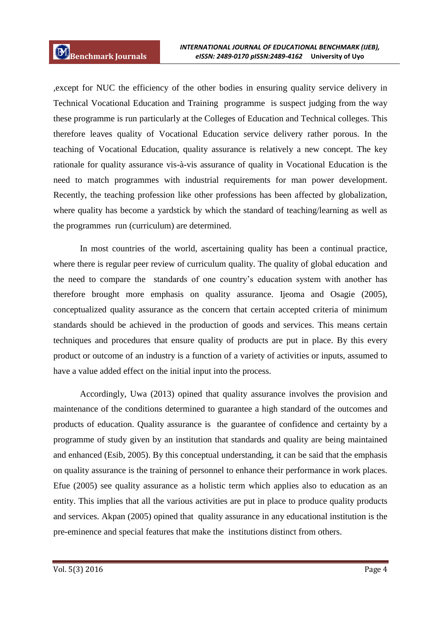,except for NUC the efficiency of the other bodies in ensuring quality service delivery in Technical Vocational Education and Training programme is suspect judging from the way these programme is run particularly at the Colleges of Education and Technical colleges. This therefore leaves quality of Vocational Education service delivery rather porous. In the teaching of Vocational Education, quality assurance is relatively a new concept. The key rationale for quality assurance vis-à-vis assurance of quality in Vocational Education is the need to match programmes with industrial requirements for man power development. Recently, the teaching profession like other professions has been affected by globalization, where quality has become a yardstick by which the standard of teaching/learning as well as the programmes run (curriculum) are determined.

In most countries of the world, ascertaining quality has been a continual practice, where there is regular peer review of curriculum quality. The quality of global education and the need to compare the standards of one country's education system with another has therefore brought more emphasis on quality assurance. Ijeoma and Osagie (2005), conceptualized quality assurance as the concern that certain accepted criteria of minimum standards should be achieved in the production of goods and services. This means certain techniques and procedures that ensure quality of products are put in place. By this every product or outcome of an industry is a function of a variety of activities or inputs, assumed to have a value added effect on the initial input into the process.

Accordingly, Uwa (2013) opined that quality assurance involves the provision and maintenance of the conditions determined to guarantee a high standard of the outcomes and products of education. Quality assurance is the guarantee of confidence and certainty by a programme of study given by an institution that standards and quality are being maintained and enhanced (Esib, 2005). By this conceptual understanding, it can be said that the emphasis on quality assurance is the training of personnel to enhance their performance in work places. Efue (2005) see quality assurance as a holistic term which applies also to education as an entity. This implies that all the various activities are put in place to produce quality products and services. Akpan (2005) opined that quality assurance in any educational institution is the pre-eminence and special features that make the institutions distinct from others.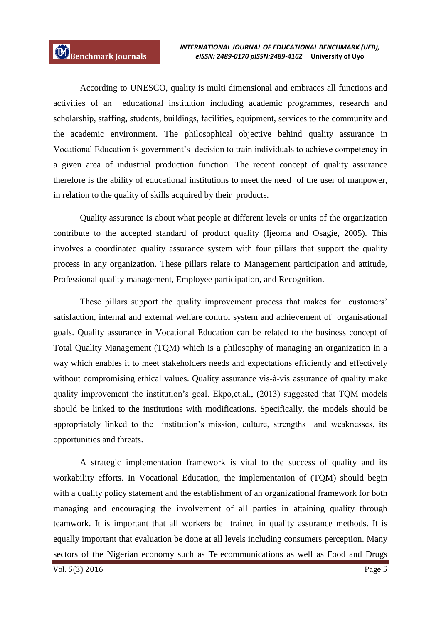According to UNESCO, quality is multi dimensional and embraces all functions and activities of an educational institution including academic programmes, research and scholarship, staffing, students, buildings, facilities, equipment, services to the community and the academic environment. The philosophical objective behind quality assurance in Vocational Education is government's decision to train individuals to achieve competency in a given area of industrial production function. The recent concept of quality assurance therefore is the ability of educational institutions to meet the need of the user of manpower, in relation to the quality of skills acquired by their products.

Quality assurance is about what people at different levels or units of the organization contribute to the accepted standard of product quality (Ijeoma and Osagie, 2005). This involves a coordinated quality assurance system with four pillars that support the quality process in any organization. These pillars relate to Management participation and attitude, Professional quality management, Employee participation, and Recognition.

These pillars support the quality improvement process that makes for customers' satisfaction, internal and external welfare control system and achievement of organisational goals. Quality assurance in Vocational Education can be related to the business concept of Total Quality Management (TQM) which is a philosophy of managing an organization in a way which enables it to meet stakeholders needs and expectations efficiently and effectively without compromising ethical values. Quality assurance vis-à-vis assurance of quality make quality improvement the institution's goal. Ekpo,et.al., (2013) suggested that TQM models should be linked to the institutions with modifications. Specifically, the models should be appropriately linked to the institution's mission, culture, strengths and weaknesses, its opportunities and threats.

A strategic implementation framework is vital to the success of quality and its workability efforts. In Vocational Education, the implementation of (TQM) should begin with a quality policy statement and the establishment of an organizational framework for both managing and encouraging the involvement of all parties in attaining quality through teamwork. It is important that all workers be trained in quality assurance methods. It is equally important that evaluation be done at all levels including consumers perception. Many sectors of the Nigerian economy such as Telecommunications as well as Food and Drugs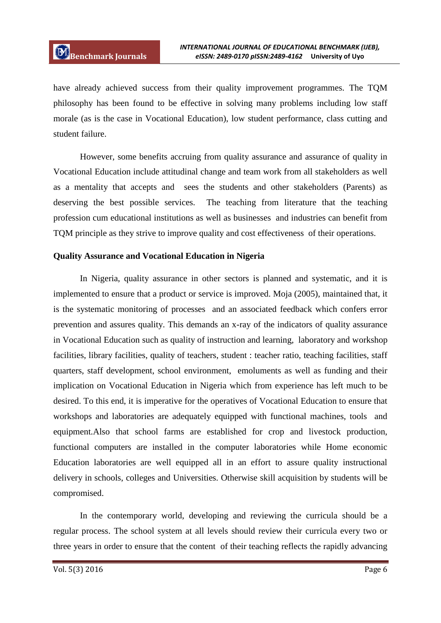have already achieved success from their quality improvement programmes. The TQM philosophy has been found to be effective in solving many problems including low staff morale (as is the case in Vocational Education), low student performance, class cutting and student failure.

However, some benefits accruing from quality assurance and assurance of quality in Vocational Education include attitudinal change and team work from all stakeholders as well as a mentality that accepts and sees the students and other stakeholders (Parents) as deserving the best possible services. The teaching from literature that the teaching profession cum educational institutions as well as businesses and industries can benefit from TQM principle as they strive to improve quality and cost effectiveness of their operations.

### **Quality Assurance and Vocational Education in Nigeria**

In Nigeria, quality assurance in other sectors is planned and systematic, and it is implemented to ensure that a product or service is improved. Moja (2005), maintained that, it is the systematic monitoring of processes and an associated feedback which confers error prevention and assures quality. This demands an x-ray of the indicators of quality assurance in Vocational Education such as quality of instruction and learning, laboratory and workshop facilities, library facilities, quality of teachers, student : teacher ratio, teaching facilities, staff quarters, staff development, school environment, emoluments as well as funding and their implication on Vocational Education in Nigeria which from experience has left much to be desired. To this end, it is imperative for the operatives of Vocational Education to ensure that workshops and laboratories are adequately equipped with functional machines, tools and equipment.Also that school farms are established for crop and livestock production, functional computers are installed in the computer laboratories while Home economic Education laboratories are well equipped all in an effort to assure quality instructional delivery in schools, colleges and Universities. Otherwise skill acquisition by students will be compromised.

In the contemporary world, developing and reviewing the curricula should be a regular process. The school system at all levels should review their curricula every two or three years in order to ensure that the content of their teaching reflects the rapidly advancing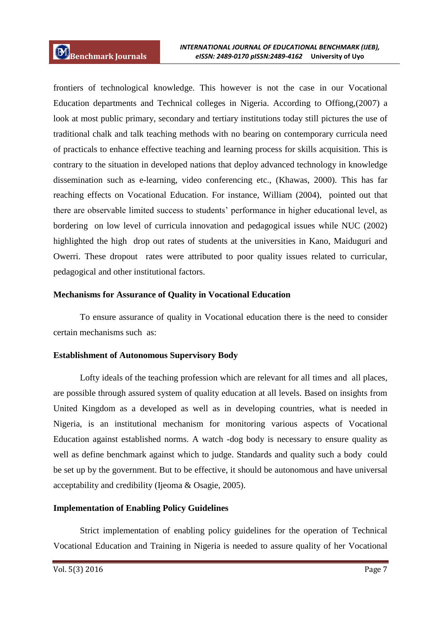frontiers of technological knowledge. This however is not the case in our Vocational Education departments and Technical colleges in Nigeria. According to Offiong,(2007) a look at most public primary, secondary and tertiary institutions today still pictures the use of traditional chalk and talk teaching methods with no bearing on contemporary curricula need of practicals to enhance effective teaching and learning process for skills acquisition. This is contrary to the situation in developed nations that deploy advanced technology in knowledge dissemination such as e-learning, video conferencing etc., (Khawas, 2000). This has far reaching effects on Vocational Education. For instance, William (2004), pointed out that there are observable limited success to students' performance in higher educational level, as bordering on low level of curricula innovation and pedagogical issues while NUC (2002) highlighted the high drop out rates of students at the universities in Kano, Maiduguri and Owerri. These dropout rates were attributed to poor quality issues related to curricular, pedagogical and other institutional factors.

# **Mechanisms for Assurance of Quality in Vocational Education**

To ensure assurance of quality in Vocational education there is the need to consider certain mechanisms such as:

# **Establishment of Autonomous Supervisory Body**

Lofty ideals of the teaching profession which are relevant for all times and all places, are possible through assured system of quality education at all levels. Based on insights from United Kingdom as a developed as well as in developing countries, what is needed in Nigeria, is an institutional mechanism for monitoring various aspects of Vocational Education against established norms. A watch -dog body is necessary to ensure quality as well as define benchmark against which to judge. Standards and quality such a body could be set up by the government. But to be effective, it should be autonomous and have universal acceptability and credibility (Ijeoma & Osagie, 2005).

# **Implementation of Enabling Policy Guidelines**

Strict implementation of enabling policy guidelines for the operation of Technical Vocational Education and Training in Nigeria is needed to assure quality of her Vocational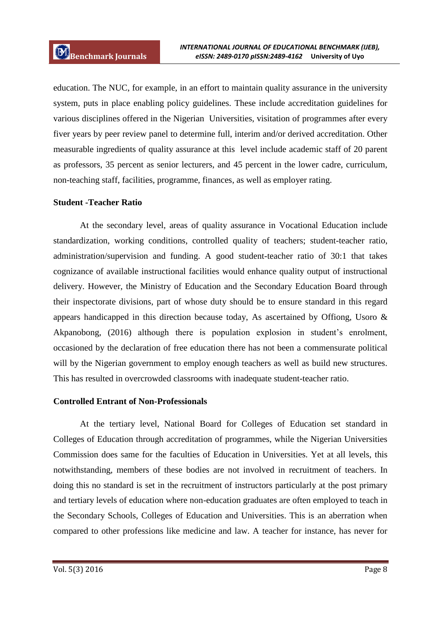education. The NUC, for example, in an effort to maintain quality assurance in the university system, puts in place enabling policy guidelines. These include accreditation guidelines for various disciplines offered in the Nigerian Universities, visitation of programmes after every fiver years by peer review panel to determine full, interim and/or derived accreditation. Other measurable ingredients of quality assurance at this level include academic staff of 20 parent as professors, 35 percent as senior lecturers, and 45 percent in the lower cadre, curriculum, non-teaching staff, facilities, programme, finances, as well as employer rating.

# **Student -Teacher Ratio**

At the secondary level, areas of quality assurance in Vocational Education include standardization, working conditions, controlled quality of teachers; student-teacher ratio, administration/supervision and funding. A good student-teacher ratio of 30:1 that takes cognizance of available instructional facilities would enhance quality output of instructional delivery. However, the Ministry of Education and the Secondary Education Board through their inspectorate divisions, part of whose duty should be to ensure standard in this regard appears handicapped in this direction because today, As ascertained by Offiong, Usoro & Akpanobong, (2016) although there is population explosion in student's enrolment, occasioned by the declaration of free education there has not been a commensurate political will by the Nigerian government to employ enough teachers as well as build new structures. This has resulted in overcrowded classrooms with inadequate student-teacher ratio.

### **Controlled Entrant of Non-Professionals**

At the tertiary level, National Board for Colleges of Education set standard in Colleges of Education through accreditation of programmes, while the Nigerian Universities Commission does same for the faculties of Education in Universities. Yet at all levels, this notwithstanding, members of these bodies are not involved in recruitment of teachers. In doing this no standard is set in the recruitment of instructors particularly at the post primary and tertiary levels of education where non-education graduates are often employed to teach in the Secondary Schools, Colleges of Education and Universities. This is an aberration when compared to other professions like medicine and law. A teacher for instance, has never for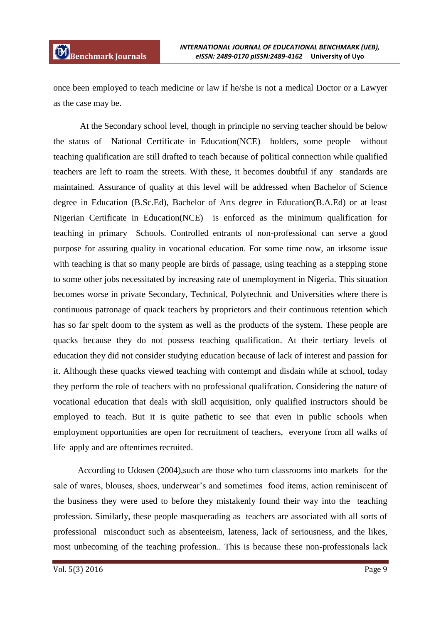once been employed to teach medicine or law if he/she is not a medical Doctor or a Lawyer as the case may be.

At the Secondary school level, though in principle no serving teacher should be below the status of National Certificate in Education(NCE) holders, some people without teaching qualification are still drafted to teach because of political connection while qualified teachers are left to roam the streets. With these, it becomes doubtful if any standards are maintained. Assurance of quality at this level will be addressed when Bachelor of Science degree in Education (B.Sc.Ed), Bachelor of Arts degree in Education(B.A.Ed) or at least Nigerian Certificate in Education(NCE) is enforced as the minimum qualification for teaching in primary Schools. Controlled entrants of non-professional can serve a good purpose for assuring quality in vocational education. For some time now, an irksome issue with teaching is that so many people are birds of passage, using teaching as a stepping stone to some other jobs necessitated by increasing rate of unemployment in Nigeria. This situation becomes worse in private Secondary, Technical, Polytechnic and Universities where there is continuous patronage of quack teachers by proprietors and their continuous retention which has so far spelt doom to the system as well as the products of the system. These people are quacks because they do not possess teaching qualification. At their tertiary levels of education they did not consider studying education because of lack of interest and passion for it. Although these quacks viewed teaching with contempt and disdain while at school, today they perform the role of teachers with no professional qualifcation. Considering the nature of vocational education that deals with skill acquisition, only qualified instructors should be employed to teach. But it is quite pathetic to see that even in public schools when employment opportunities are open for recruitment of teachers, everyone from all walks of life apply and are oftentimes recruited.

 According to Udosen (2004),such are those who turn classrooms into markets for the sale of wares, blouses, shoes, underwear's and sometimes food items, action reminiscent of the business they were used to before they mistakenly found their way into the teaching profession. Similarly, these people masquerading as teachers are associated with all sorts of professional misconduct such as absenteeism, lateness, lack of seriousness, and the likes, most unbecoming of the teaching profession.. This is because these non-professionals lack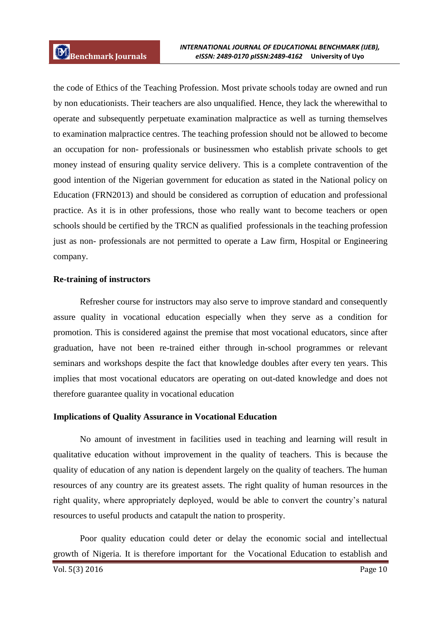the code of Ethics of the Teaching Profession. Most private schools today are owned and run by non educationists. Their teachers are also unqualified. Hence, they lack the wherewithal to operate and subsequently perpetuate examination malpractice as well as turning themselves to examination malpractice centres. The teaching profession should not be allowed to become an occupation for non- professionals or businessmen who establish private schools to get money instead of ensuring quality service delivery. This is a complete contravention of the good intention of the Nigerian government for education as stated in the National policy on Education (FRN2013) and should be considered as corruption of education and professional practice. As it is in other professions, those who really want to become teachers or open schools should be certified by the TRCN as qualified professionals in the teaching profession just as non- professionals are not permitted to operate a Law firm, Hospital or Engineering company.

### **Re-training of instructors**

Refresher course for instructors may also serve to improve standard and consequently assure quality in vocational education especially when they serve as a condition for promotion. This is considered against the premise that most vocational educators, since after graduation, have not been re-trained either through in-school programmes or relevant seminars and workshops despite the fact that knowledge doubles after every ten years. This implies that most vocational educators are operating on out-dated knowledge and does not therefore guarantee quality in vocational education

### **Implications of Quality Assurance in Vocational Education**

No amount of investment in facilities used in teaching and learning will result in qualitative education without improvement in the quality of teachers. This is because the quality of education of any nation is dependent largely on the quality of teachers. The human resources of any country are its greatest assets. The right quality of human resources in the right quality, where appropriately deployed, would be able to convert the country's natural resources to useful products and catapult the nation to prosperity.

Poor quality education could deter or delay the economic social and intellectual growth of Nigeria. It is therefore important for the Vocational Education to establish and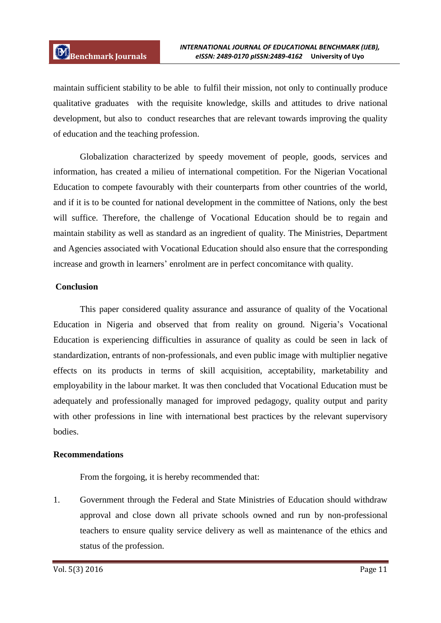maintain sufficient stability to be able to fulfil their mission, not only to continually produce qualitative graduates with the requisite knowledge, skills and attitudes to drive national development, but also to conduct researches that are relevant towards improving the quality of education and the teaching profession.

Globalization characterized by speedy movement of people, goods, services and information, has created a milieu of international competition. For the Nigerian Vocational Education to compete favourably with their counterparts from other countries of the world, and if it is to be counted for national development in the committee of Nations, only the best will suffice. Therefore, the challenge of Vocational Education should be to regain and maintain stability as well as standard as an ingredient of quality. The Ministries, Department and Agencies associated with Vocational Education should also ensure that the corresponding increase and growth in learners' enrolment are in perfect concomitance with quality.

### **Conclusion**

This paper considered quality assurance and assurance of quality of the Vocational Education in Nigeria and observed that from reality on ground. Nigeria's Vocational Education is experiencing difficulties in assurance of quality as could be seen in lack of standardization, entrants of non-professionals, and even public image with multiplier negative effects on its products in terms of skill acquisition, acceptability, marketability and employability in the labour market. It was then concluded that Vocational Education must be adequately and professionally managed for improved pedagogy, quality output and parity with other professions in line with international best practices by the relevant supervisory bodies.

### **Recommendations**

From the forgoing, it is hereby recommended that:

1. Government through the Federal and State Ministries of Education should withdraw approval and close down all private schools owned and run by non-professional teachers to ensure quality service delivery as well as maintenance of the ethics and status of the profession.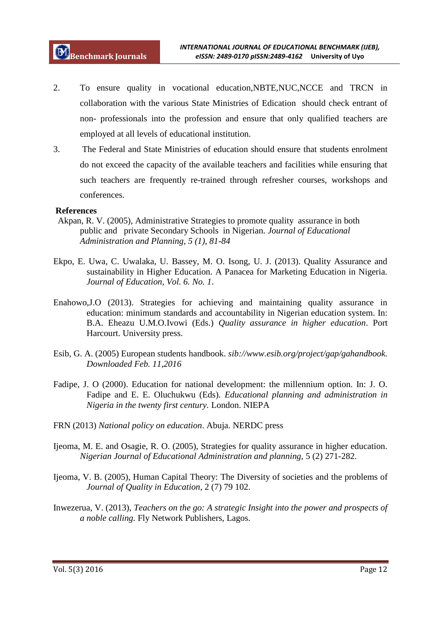- 2. To ensure quality in vocational education,NBTE,NUC,NCCE and TRCN in collaboration with the various State Ministries of Edication should check entrant of non- professionals into the profession and ensure that only qualified teachers are employed at all levels of educational institution.
- 3. The Federal and State Ministries of education should ensure that students enrolment do not exceed the capacity of the available teachers and facilities while ensuring that such teachers are frequently re-trained through refresher courses, workshops and conferences.

### **References**

- Akpan, R. V. (2005), Administrative Strategies to promote quality assurance in both public and private Secondary Schools in Nigerian*. Journal of Educational Administration and Planning, 5 (1), 81-84*
- Ekpo, E. Uwa, C. Uwalaka, U. Bassey, M. O. Isong, U. J. (2013). Quality Assurance and sustainability in Higher Education. A Panacea for Marketing Education in Nigeria. *Journal of Education, Vol. 6. No. 1*.
- Enahowo,J.O (2013). Strategies for achieving and maintaining quality assurance in education: minimum standards and accountability in Nigerian education system. In: B.A. Eheazu U.M.O.Ivowi (Eds.) *Quality assurance in higher education*. Port Harcourt. University press.
- Esib, G. A. (2005) European students handbook. *sib://www.esib.org/project/gap/gahandbook. Downloaded Feb. 11,2016*
- Fadipe, J. O (2000). Education for national development: the millennium option. In: J. O. Fadipe and E. E. Oluchukwu (Eds). *Educational planning and administration in Nigeria in the twenty first century.* London. NIEPA
- FRN (2013) *National policy on education*. Abuja. NERDC press
- Ijeoma, M. E. and Osagie, R. O. (2005), Strategies for quality assurance in higher education. *Nigerian Journal of Educational Administration and planning,* 5 (2) 271-282.
- Ijeoma, V. B. (2005), Human Capital Theory: The Diversity of societies and the problems of *Journal of Quality in Education*, 2 (7) 79 102.
- Inwezerua, V. (2013), *Teachers on the go: A strategic Insight into the power and prospects of a noble calling.* Fly Network Publishers, Lagos.